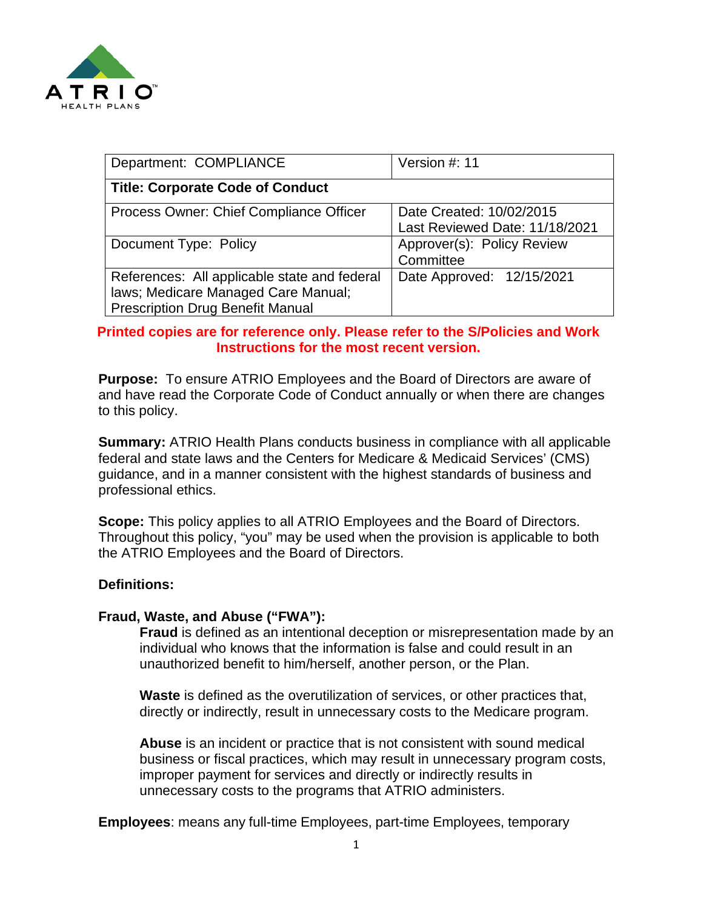

| Department: COMPLIANCE                                                                                                         | Version #: 11                                              |
|--------------------------------------------------------------------------------------------------------------------------------|------------------------------------------------------------|
| <b>Title: Corporate Code of Conduct</b>                                                                                        |                                                            |
| Process Owner: Chief Compliance Officer                                                                                        | Date Created: 10/02/2015<br>Last Reviewed Date: 11/18/2021 |
| Document Type: Policy                                                                                                          | Approver(s): Policy Review<br>Committee                    |
| References: All applicable state and federal<br>laws; Medicare Managed Care Manual;<br><b>Prescription Drug Benefit Manual</b> | Date Approved: 12/15/2021                                  |

## **Printed copies are for reference only. Please refer to the S/Policies and Work Instructions for the most recent version.**

**Purpose:** To ensure ATRIO Employees and the Board of Directors are aware of and have read the Corporate Code of Conduct annually or when there are changes to this policy.

**Summary:** ATRIO Health Plans conducts business in compliance with all applicable federal and state laws and the Centers for Medicare & Medicaid Services' (CMS) guidance, and in a manner consistent with the highest standards of business and professional ethics.

**Scope:** This policy applies to all ATRIO Employees and the Board of Directors. Throughout this policy, "you" may be used when the provision is applicable to both the ATRIO Employees and the Board of Directors.

#### **Definitions:**

#### **Fraud, Waste, and Abuse ("FWA"):**

**Fraud** is defined as an intentional deception or misrepresentation made by an individual who knows that the information is false and could result in an unauthorized benefit to him/herself, another person, or the Plan.

**Waste** is defined as the overutilization of services, or other practices that, directly or indirectly, result in unnecessary costs to the Medicare program.

**Abuse** is an incident or practice that is not consistent with sound medical business or fiscal practices, which may result in unnecessary program costs, improper payment for services and directly or indirectly results in unnecessary costs to the programs that ATRIO administers.

**Employees**: means any full-time Employees, part-time Employees, temporary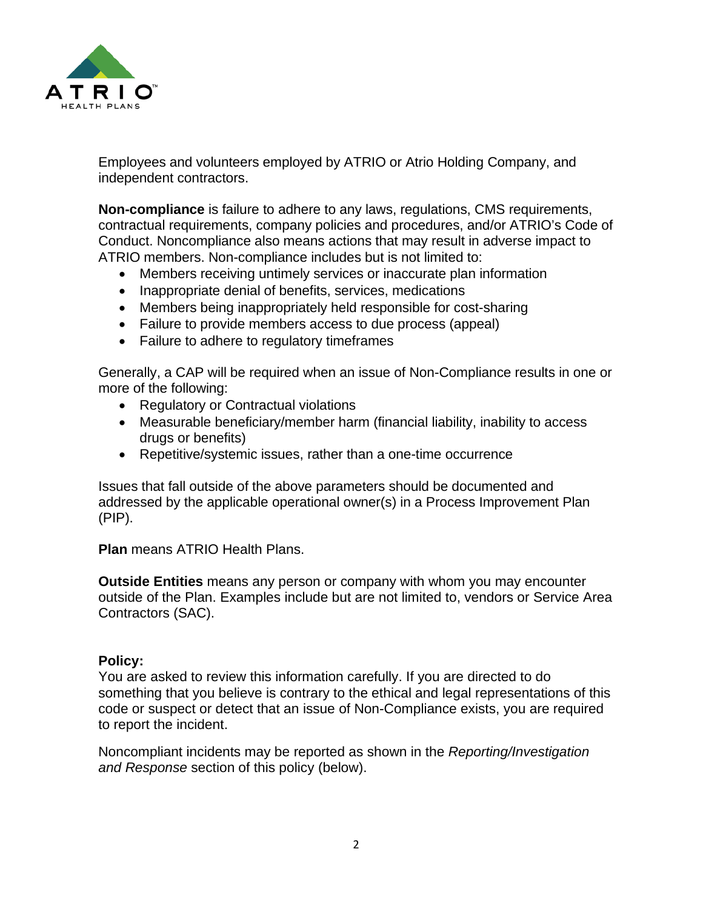

Employees and volunteers employed by ATRIO or Atrio Holding Company, and independent contractors.

**Non-compliance** is failure to adhere to any laws, regulations, CMS requirements, contractual requirements, company policies and procedures, and/or ATRIO's Code of Conduct. Noncompliance also means actions that may result in adverse impact to ATRIO members. Non-compliance includes but is not limited to:

- Members receiving untimely services or inaccurate plan information
- Inappropriate denial of benefits, services, medications
- Members being inappropriately held responsible for cost-sharing
- Failure to provide members access to due process (appeal)
- Failure to adhere to regulatory timeframes

Generally, a CAP will be required when an issue of Non-Compliance results in one or more of the following:

- Regulatory or Contractual violations
- Measurable beneficiary/member harm (financial liability, inability to access drugs or benefits)
- Repetitive/systemic issues, rather than a one-time occurrence

Issues that fall outside of the above parameters should be documented and addressed by the applicable operational owner(s) in a Process Improvement Plan (PIP).

**Plan** means ATRIO Health Plans.

**Outside Entities** means any person or company with whom you may encounter outside of the Plan. Examples include but are not limited to, vendors or Service Area Contractors (SAC).

## **Policy:**

You are asked to review this information carefully. If you are directed to do something that you believe is contrary to the ethical and legal representations of this code or suspect or detect that an issue of Non-Compliance exists, you are required to report the incident.

Noncompliant incidents may be reported as shown in the *Reporting/Investigation and Response* section of this policy (below).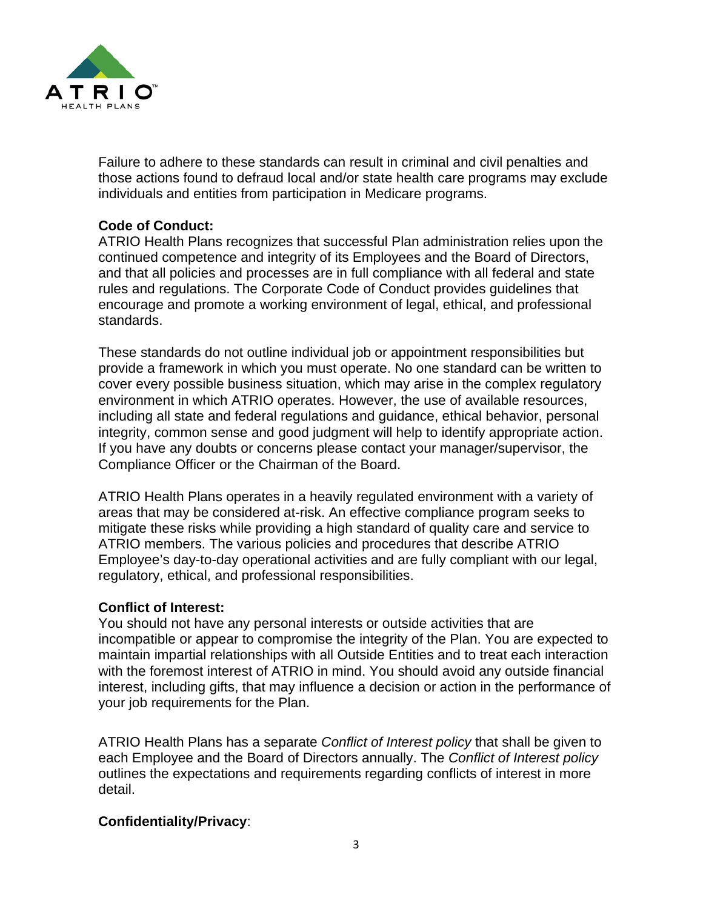

Failure to adhere to these standards can result in criminal and civil penalties and those actions found to defraud local and/or state health care programs may exclude individuals and entities from participation in Medicare programs.

# **Code of Conduct:**

ATRIO Health Plans recognizes that successful Plan administration relies upon the continued competence and integrity of its Employees and the Board of Directors, and that all policies and processes are in full compliance with all federal and state rules and regulations. The Corporate Code of Conduct provides guidelines that encourage and promote a working environment of legal, ethical, and professional standards.

These standards do not outline individual job or appointment responsibilities but provide a framework in which you must operate. No one standard can be written to cover every possible business situation, which may arise in the complex regulatory environment in which ATRIO operates. However, the use of available resources, including all state and federal regulations and guidance, ethical behavior, personal integrity, common sense and good judgment will help to identify appropriate action. If you have any doubts or concerns please contact your manager/supervisor, the Compliance Officer or the Chairman of the Board.

ATRIO Health Plans operates in a heavily regulated environment with a variety of areas that may be considered at-risk. An effective compliance program seeks to mitigate these risks while providing a high standard of quality care and service to ATRIO members. The various policies and procedures that describe ATRIO Employee's day-to-day operational activities and are fully compliant with our legal, regulatory, ethical, and professional responsibilities.

## **Conflict of Interest:**

You should not have any personal interests or outside activities that are incompatible or appear to compromise the integrity of the Plan. You are expected to maintain impartial relationships with all Outside Entities and to treat each interaction with the foremost interest of ATRIO in mind. You should avoid any outside financial interest, including gifts, that may influence a decision or action in the performance of your job requirements for the Plan.

ATRIO Health Plans has a separate *Conflict of Interest policy* that shall be given to each Employee and the Board of Directors annually. The *Conflict of Interest policy* outlines the expectations and requirements regarding conflicts of interest in more detail.

## **Confidentiality/Privacy**: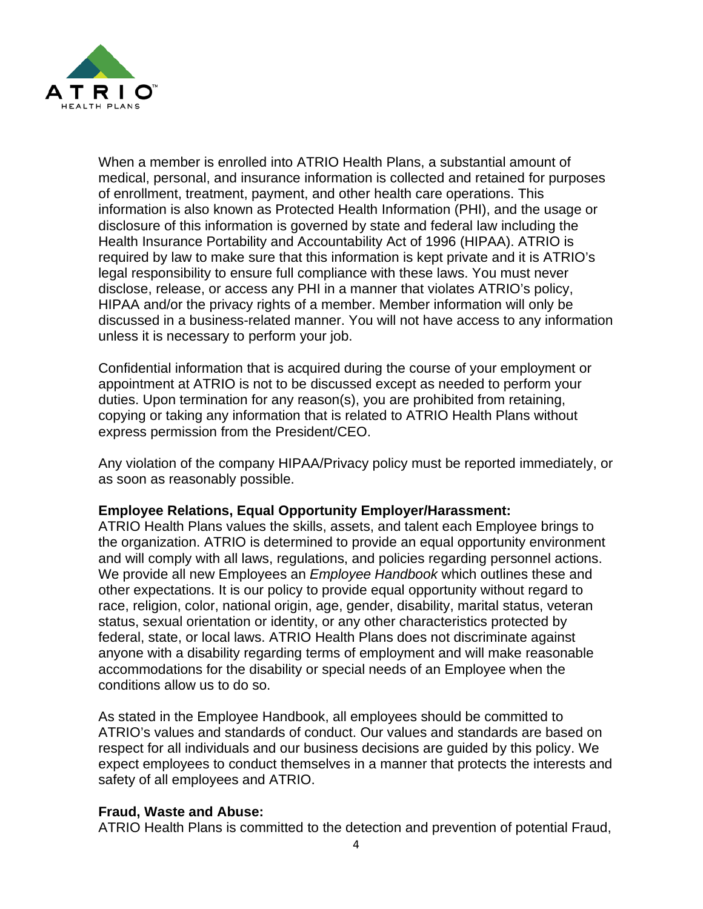

When a member is enrolled into ATRIO Health Plans, a substantial amount of medical, personal, and insurance information is collected and retained for purposes of enrollment, treatment, payment, and other health care operations. This information is also known as Protected Health Information (PHI), and the usage or disclosure of this information is governed by state and federal law including the Health Insurance Portability and Accountability Act of 1996 (HIPAA). ATRIO is required by law to make sure that this information is kept private and it is ATRIO's legal responsibility to ensure full compliance with these laws. You must never disclose, release, or access any PHI in a manner that violates ATRIO's policy, HIPAA and/or the privacy rights of a member. Member information will only be discussed in a business-related manner. You will not have access to any information unless it is necessary to perform your job.

Confidential information that is acquired during the course of your employment or appointment at ATRIO is not to be discussed except as needed to perform your duties. Upon termination for any reason(s), you are prohibited from retaining, copying or taking any information that is related to ATRIO Health Plans without express permission from the President/CEO.

Any violation of the company HIPAA/Privacy policy must be [reported immediately,](https://www.atriohp.com/compliance-at-atrio/) or as soon as reasonably possible.

#### **Employee Relations, Equal Opportunity Employer/Harassment:**

ATRIO Health Plans values the skills, assets, and talent each Employee brings to the organization. ATRIO is determined to provide an equal opportunity environment and will comply with all laws, regulations, and policies regarding personnel actions. We provide all new Employees an *Employee Handbook* which outlines these and other expectations. It is our policy to provide equal opportunity without regard to race, religion, color, national origin, age, gender, disability, marital status, veteran status, sexual orientation or identity, or any other characteristics protected by federal, state, or local laws. ATRIO Health Plans does not discriminate against anyone with a disability regarding terms of employment and will make reasonable accommodations for the disability or special needs of an Employee when the conditions allow us to do so.

As stated in the Employee Handbook, all employees should be committed to ATRIO's values and standards of conduct. Our values and standards are based on respect for all individuals and our business decisions are guided by this policy. We expect employees to conduct themselves in a manner that protects the interests and safety of all employees and ATRIO.

## **Fraud, Waste and Abuse:**

ATRIO Health Plans is committed to the detection and prevention of potential Fraud,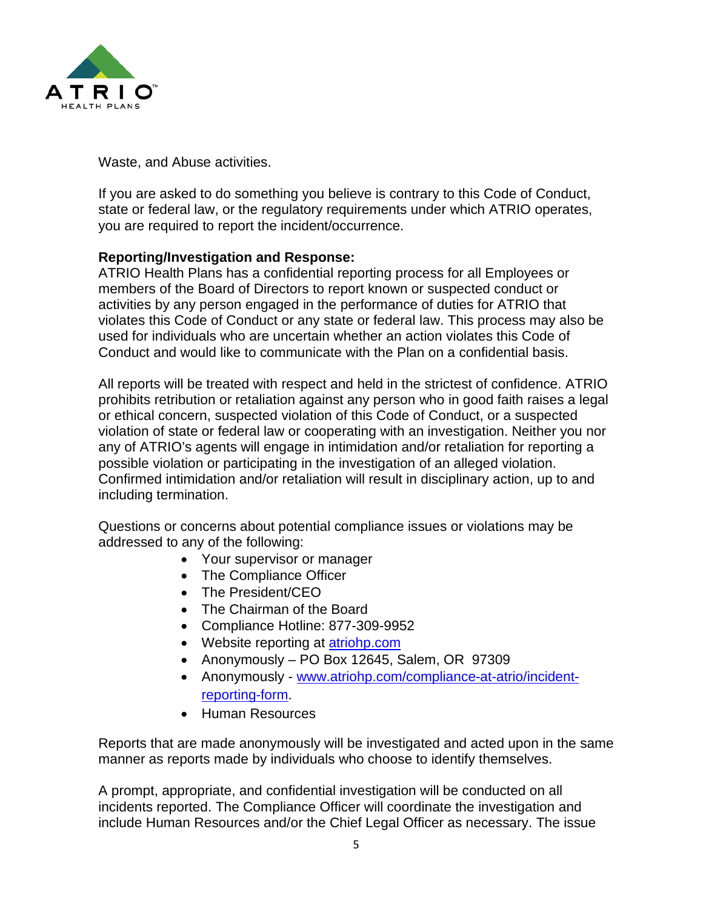

Waste, and Abuse activities.

If you are asked to do something you believe is contrary to this Code of Conduct, state or federal law, or the regulatory requirements under which ATRIO operates, you are required to [report the incident/occurrence.](https://www.atriohp.com/compliance-at-atrio/)

### **Reporting/Investigation and Response:**

ATRIO Health Plans has a confidential reporting process for all Employees or members of the Board of Directors to report known or suspected conduct or activities by any person engaged in the performance of duties for ATRIO that violates this Code of Conduct or any state or federal law. This process may also be used for individuals who are uncertain whether an action violates this Code of Conduct and would like to communicate with the Plan on a confidential basis.

All reports will be treated with respect and held in the strictest of confidence. ATRIO prohibits retribution or retaliation against any person who in good faith raises a legal or ethical concern, suspected violation of this Code of Conduct, or a suspected violation of state or federal law or cooperating with an investigation. Neither you nor any of ATRIO's agents will engage in intimidation and/or retaliation for reporting a possible violation or participating in the investigation of an alleged violation. Confirmed intimidation and/or retaliation will result in disciplinary action, up to and including termination.

Questions or concerns about potential compliance issues or violations may be addressed to any of the following:

- Your supervisor or manager
- The Compliance Officer
- The President/CEO
- The Chairman of the Board
- Compliance Hotline: 877-309-9952
- Website reporting at atriohp.com
- Anonymously PO Box 12645, Salem, OR 97309
- Anonymously [www.atriohp.com/compliance-at-atrio/incident](http://www.atriohp.com/compliance-at-atrio/incident-reporting-form)[reporting-form.](http://www.atriohp.com/compliance-at-atrio/incident-reporting-form)
- Human Resources

Reports that are made anonymously will be investigated and acted upon in the same manner as reports made by individuals who choose to identify themselves.

A prompt, appropriate, and confidential investigation will be conducted on all incidents reported. The Compliance Officer will coordinate the investigation and include Human Resources and/or the Chief Legal Officer as necessary. The issue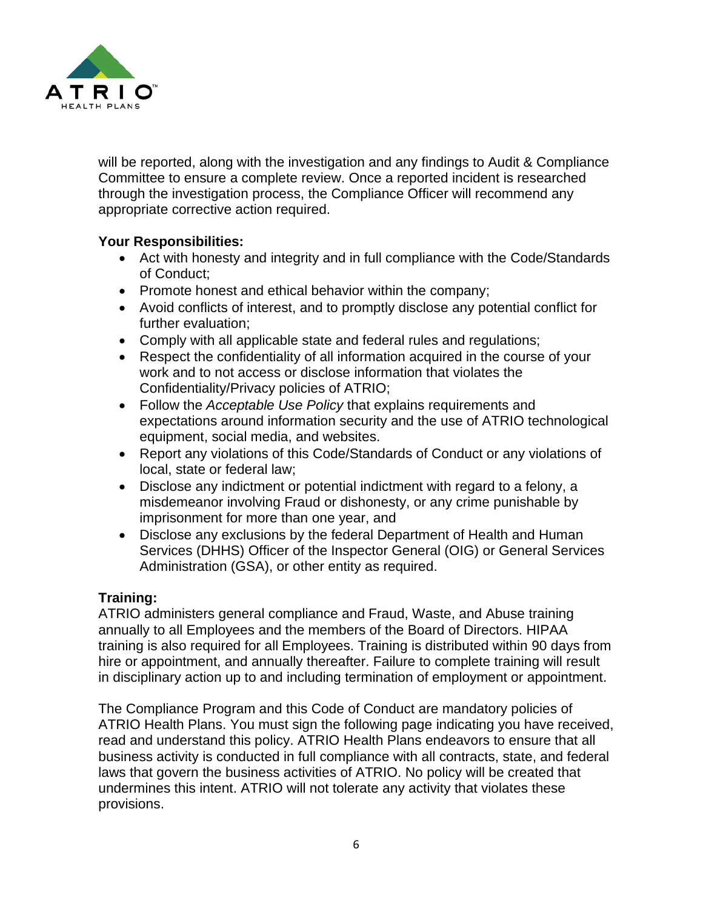

will be reported, along with the investigation and any findings to Audit & Compliance Committee to ensure a complete review. Once a reported incident is researched through the investigation process, the Compliance Officer will recommend any appropriate corrective action required.

## **Your Responsibilities:**

- Act with honesty and integrity and in full compliance with the Code/Standards of Conduct;
- Promote honest and ethical behavior within the company;
- Avoid conflicts of interest, and to promptly disclose any potential conflict for further evaluation;
- Comply with all applicable state and federal rules and regulations;
- Respect the confidentiality of all information acquired in the course of your work and to not access or disclose information that violates the Confidentiality/Privacy policies of ATRIO;
- Follow the *Acceptable Use Policy* that explains requirements and expectations around information security and the use of ATRIO technological equipment, social media, and websites.
- [Report](https://www.atriohp.com/compliance-at-atrio/) any violations of this Code/Standards of Conduct or any violations of local, state or federal law;
- Disclose any indictment or potential indictment with regard to a felony, a misdemeanor involving Fraud or dishonesty, or any crime punishable by imprisonment for more than one year, and
- Disclose any exclusions by the federal Department of Health and Human Services (DHHS) Officer of the Inspector General (OIG) or General Services Administration (GSA), or other entity as required.

# **Training:**

ATRIO administers general compliance and Fraud, Waste, and Abuse training annually to all Employees and the members of the Board of Directors. HIPAA training is also required for all Employees. Training is distributed within 90 days from hire or appointment, and annually thereafter. Failure to complete training will result in disciplinary action up to and including termination of employment or appointment.

The Compliance Program and this Code of Conduct are mandatory policies of ATRIO Health Plans. You must sign the following page indicating you have received, read and understand this policy. ATRIO Health Plans endeavors to ensure that all business activity is conducted in full compliance with all contracts, state, and federal laws that govern the business activities of ATRIO. No policy will be created that undermines this intent. ATRIO will not tolerate any activity that violates these provisions.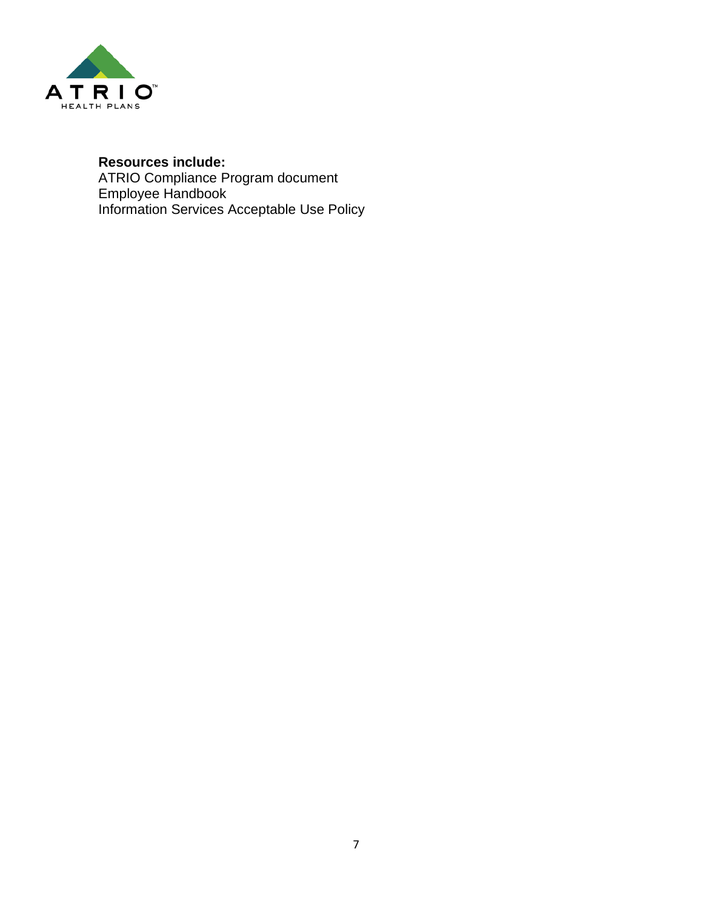

## **Resources include:**

[ATRIO Compliance Program document](https://www.atriohp.com/documents/Compliance-Program-Summary.pdf) Employee [Handbook](file://atriodb/ATRIO-South/ATRIO_RESOURCES) Information Services Acceptable Use Policy